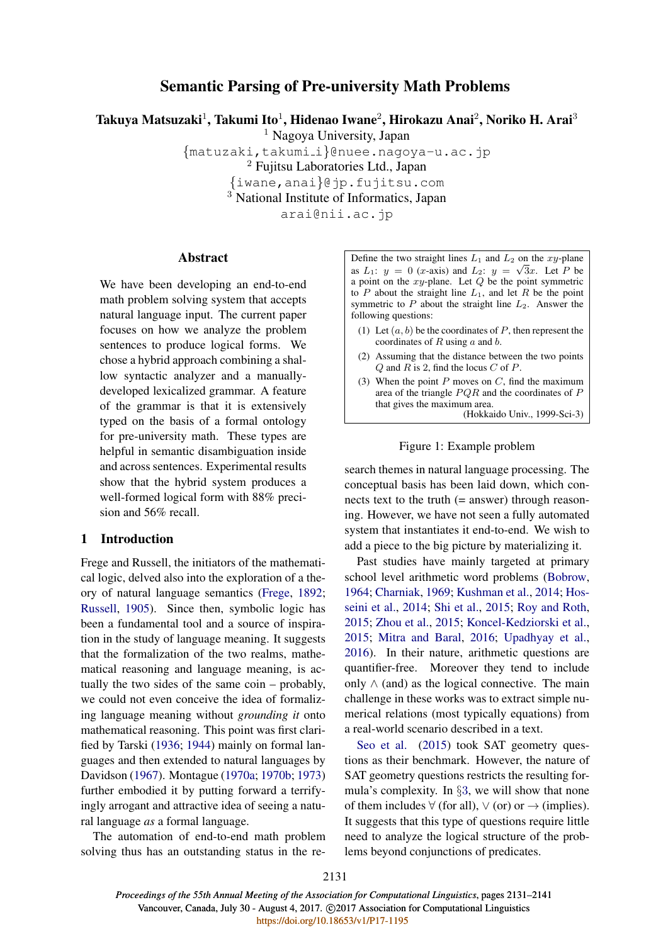# Semantic Parsing of Pre-university Math Problems

Takuya Matsuzaki $^1$ , Takumi Ito $^1$ , Hidenao Iwane $^2$ , Hirokazu Anai $^2$ , Noriko H. Arai $^3$ 

<sup>1</sup> Nagoya University, Japan

{matuzaki,takumi i}@nuee.nagoya-u.ac.jp

<sup>2</sup> Fujitsu Laboratories Ltd., Japan

{iwane,anai}@jp.fujitsu.com

<sup>3</sup> National Institute of Informatics, Japan

arai@nii.ac.jp

# Abstract

We have been developing an end-to-end math problem solving system that accepts natural language input. The current paper focuses on how we analyze the problem sentences to produce logical forms. We chose a hybrid approach combining a shallow syntactic analyzer and a manuallydeveloped lexicalized grammar. A feature of the grammar is that it is extensively typed on the basis of a formal ontology for pre-university math. These types are helpful in semantic disambiguation inside and across sentences. Experimental results show that the hybrid system produces a well-formed logical form with 88% precision and 56% recall.

# 1 Introduction

Frege and Russell, the initiators of the mathematical logic, delved also into the exploration of a theory of natural language semantics (Frege, 1892; Russell, 1905). Since then, symbolic logic has been a fundamental tool and a source of inspiration in the study of language meaning. It suggests that the formalization of the two realms, mathematical reasoning and language meaning, is actually the two sides of the same coin – probably, we could not even conceive the idea of formalizing language meaning without *grounding it* onto mathematical reasoning. This point was first clarified by Tarski (1936; 1944) mainly on formal languages and then extended to natural languages by Davidson (1967). Montague (1970a; 1970b; 1973) further embodied it by putting forward a terrifyingly arrogant and attractive idea of seeing a natural language *as* a formal language.

The automation of end-to-end math problem solving thus has an outstanding status in the reDefine the two straight lines  $L_1$  and  $L_2$  on the xy-plane as  $L_1$ :  $y = 0$  (*x*-axis) and  $L_2$ :  $y = \sqrt{3}x$ . Let P be a point on the  $xy$ -plane. Let  $Q$  be the point symmetric to P about the straight line  $L_1$ , and let R be the point symmetric to  $P$  about the straight line  $L_2$ . Answer the following questions:

- (1) Let  $(a, b)$  be the coordinates of P, then represent the coordinates of  $R$  using  $a$  and  $b$ .
- (2) Assuming that the distance between the two points  $Q$  and  $R$  is 2, find the locus  $C$  of  $P$ .
- (3) When the point  $P$  moves on  $C$ , find the maximum area of the triangle  $PQR$  and the coordinates of  $P$ that gives the maximum area. (Hokkaido Univ., 1999-Sci-3)

#### Figure 1: Example problem

search themes in natural language processing. The conceptual basis has been laid down, which connects text to the truth  $(=$  answer) through reasoning. However, we have not seen a fully automated system that instantiates it end-to-end. We wish to add a piece to the big picture by materializing it.

Past studies have mainly targeted at primary school level arithmetic word problems (Bobrow, 1964; Charniak, 1969; Kushman et al., 2014; Hosseini et al., 2014; Shi et al., 2015; Roy and Roth, 2015; Zhou et al., 2015; Koncel-Kedziorski et al., 2015; Mitra and Baral, 2016; Upadhyay et al., 2016). In their nature, arithmetic questions are quantifier-free. Moreover they tend to include only  $\wedge$  (and) as the logical connective. The main challenge in these works was to extract simple numerical relations (most typically equations) from a real-world scenario described in a text.

Seo et al. (2015) took SAT geometry questions as their benchmark. However, the nature of SAT geometry questions restricts the resulting formula's complexity. In §3, we will show that none of them includes  $\forall$  (for all),  $\lor$  (or) or  $\rightarrow$  (implies). It suggests that this type of questions require little need to analyze the logical structure of the problems beyond conjunctions of predicates.

2131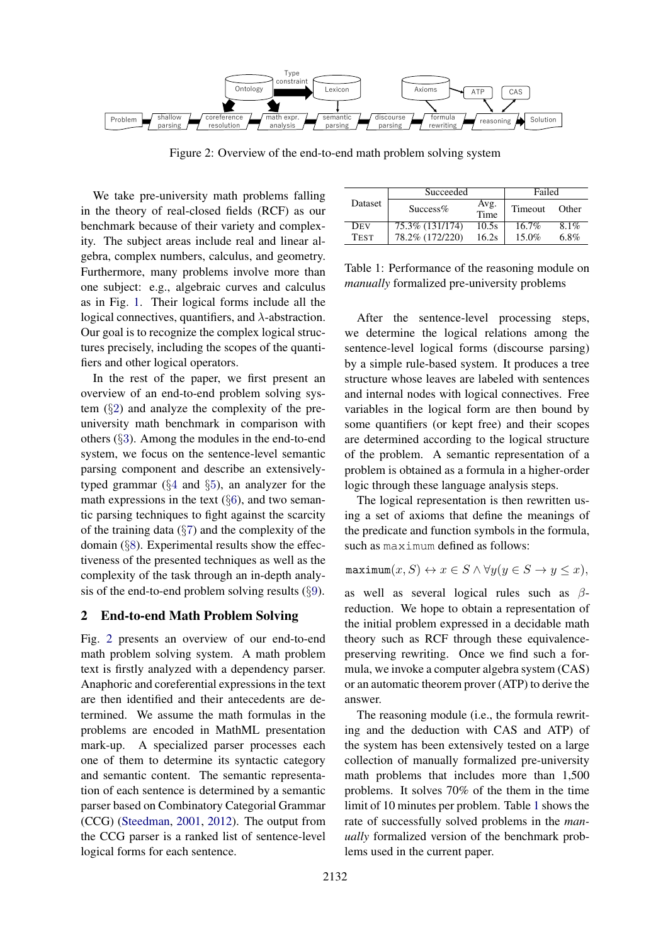

Figure 2: Overview of the end-to-end math problem solving system

We take pre-university math problems falling in the theory of real-closed fields (RCF) as our benchmark because of their variety and complexity. The subject areas include real and linear algebra, complex numbers, calculus, and geometry. Furthermore, many problems involve more than one subject: e.g., algebraic curves and calculus as in Fig. 1. Their logical forms include all the logical connectives, quantifiers, and  $\lambda$ -abstraction. Our goal is to recognize the complex logical structures precisely, including the scopes of the quantifiers and other logical operators.

In the rest of the paper, we first present an overview of an end-to-end problem solving system (§2) and analyze the complexity of the preuniversity math benchmark in comparison with others (§3). Among the modules in the end-to-end system, we focus on the sentence-level semantic parsing component and describe an extensivelytyped grammar (§4 and §5), an analyzer for the math expressions in the text  $(\S6)$ , and two semantic parsing techniques to fight against the scarcity of the training data  $(\S7)$  and the complexity of the domain (§8). Experimental results show the effectiveness of the presented techniques as well as the complexity of the task through an in-depth analysis of the end-to-end problem solving results  $(\S 9)$ .

### 2 End-to-end Math Problem Solving

Fig. 2 presents an overview of our end-to-end math problem solving system. A math problem text is firstly analyzed with a dependency parser. Anaphoric and coreferential expressions in the text are then identified and their antecedents are determined. We assume the math formulas in the problems are encoded in MathML presentation mark-up. A specialized parser processes each one of them to determine its syntactic category and semantic content. The semantic representation of each sentence is determined by a semantic parser based on Combinatory Categorial Grammar (CCG) (Steedman, 2001, 2012). The output from the CCG parser is a ranked list of sentence-level logical forms for each sentence.

|                | Succeeded       | Failed       |          |         |
|----------------|-----------------|--------------|----------|---------|
| <b>Dataset</b> | $Success\%$     | Avg.<br>Time | Timeout  | Other   |
| <b>DEV</b>     | 75.3% (131/174) | 10.5s        | $16.7\%$ | $8.1\%$ |
| <b>TEST</b>    | 78.2% (172/220) | 16.2s        | $15.0\%$ | $6.8\%$ |

Table 1: Performance of the reasoning module on *manually* formalized pre-university problems

After the sentence-level processing steps, we determine the logical relations among the sentence-level logical forms (discourse parsing) by a simple rule-based system. It produces a tree structure whose leaves are labeled with sentences and internal nodes with logical connectives. Free variables in the logical form are then bound by some quantifiers (or kept free) and their scopes are determined according to the logical structure of the problem. A semantic representation of a problem is obtained as a formula in a higher-order logic through these language analysis steps.

The logical representation is then rewritten using a set of axioms that define the meanings of the predicate and function symbols in the formula, such as maximum defined as follows:

$$
\text{maximum}(x, S) \leftrightarrow x \in S \land \forall y (y \in S \rightarrow y \leq x),
$$

as well as several logical rules such as  $\beta$ reduction. We hope to obtain a representation of the initial problem expressed in a decidable math theory such as RCF through these equivalencepreserving rewriting. Once we find such a formula, we invoke a computer algebra system (CAS) or an automatic theorem prover (ATP) to derive the answer.

The reasoning module (i.e., the formula rewriting and the deduction with CAS and ATP) of the system has been extensively tested on a large collection of manually formalized pre-university math problems that includes more than 1,500 problems. It solves 70% of the them in the time limit of 10 minutes per problem. Table 1 shows the rate of successfully solved problems in the *manually* formalized version of the benchmark problems used in the current paper.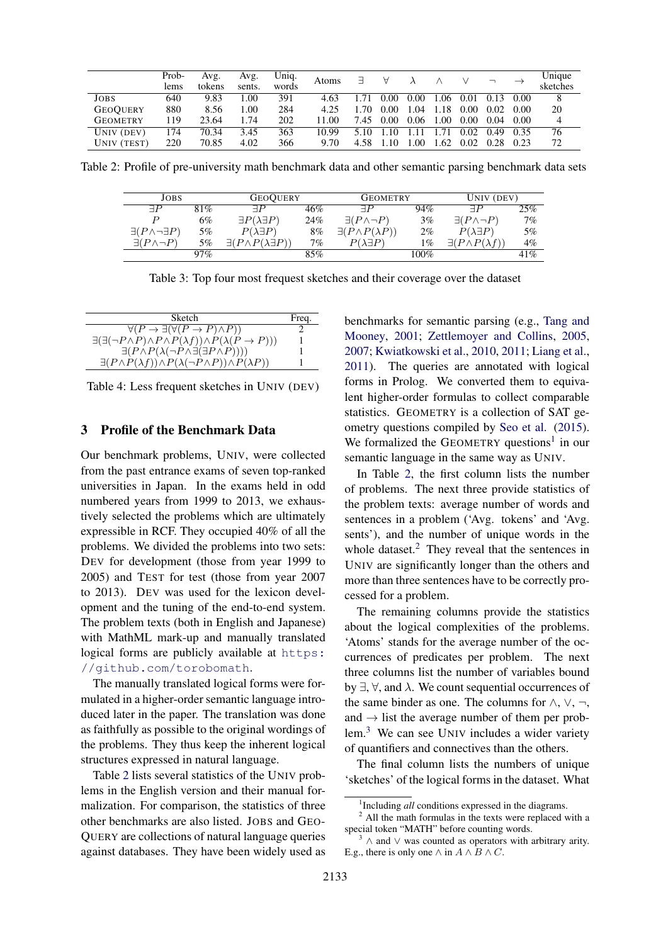|                 | Prob- | Avg.   | Avg.   | Uniq. | Atoms |           | Α    |      |      |      |      |      | Unique   |
|-----------------|-------|--------|--------|-------|-------|-----------|------|------|------|------|------|------|----------|
|                 | lems  | tokens | sents. | words |       | $\exists$ |      |      |      |      |      |      | sketches |
| JOBS            | 640   | 9.83   | .00    | 391   | 4.63  |           | 0.00 | 0.00 | 1.06 | 0.01 | 0.13 | 0.00 | 8        |
| <b>GEOQUERY</b> | 880   | 8.56   | .00    | 284   | 4.25  | 1.70      | 0.00 | 1.04 | 1.18 | 0.00 | 0.02 | 0.00 | 20       |
| GEOMETRY        | 119   | 23.64  | .74    | 202   | 11.00 | 7.45      | 0.00 | 0.06 | 1.00 | 0.00 | 0.04 | 0.00 | 4        |
| UNIV (DEV)      | 174   | 70.34  | 3.45   | 363   | 10.99 | 5.10      | 1.10 |      |      | 0.02 | 0.49 | 0.35 | 76       |
| UNIV (TEST)     | 220   | 70.85  | 4.02   | 366   | 9.70  | 4.58      |      | .00  | .62  | 0.02 | 0.28 | 0.23 | 72       |

Table 2: Profile of pre-university math benchmark data and other semantic parsing benchmark data sets

| JOBS                                |       | <b>GEOQUERY</b>                          |     | <b>GEOMETRY</b>                  |       | UNIV (DEV)                        |       |
|-------------------------------------|-------|------------------------------------------|-----|----------------------------------|-------|-----------------------------------|-------|
| $\exists P$                         | 81%   | $\sqsupset P$                            | 46% | $\exists P$                      | 94%   | $\sqsupset$                       | 25%   |
| $\boldsymbol{D}$                    | $6\%$ | $\exists P(\lambda \exists P)$           | 24% | $\exists (P \wedge \neg P)$      | $3\%$ | $\exists (P \wedge \neg P)$       | $7\%$ |
| $\exists (P \wedge \neg \exists P)$ | $5\%$ | $P(\lambda \exists P)$                   | 8%  | $\exists (P \land P(\lambda P))$ | $2\%$ | $P(\lambda \exists P)$            | 5%    |
| $\exists (P \wedge \neg P)$         | $5\%$ | $\exists (P \land P(\lambda \exists P))$ | 7%  | $P(\lambda \exists P)$           | $1\%$ | $\exists (P \wedge P(\lambda f))$ | $4\%$ |
|                                     | 97%   |                                          | 85% |                                  | 100%  |                                   | 41%   |

Table 3: Top four most frequest sketches and their coverage over the dataset

| Sketch                                                                                           | Freq. |
|--------------------------------------------------------------------------------------------------|-------|
| $\forall (P \to \exists (\forall (P \to P) \land P))$                                            |       |
| $\exists(\exists(\neg P \land P) \land P \land P(\lambda f)) \land P(\lambda(P \rightarrow P)))$ |       |
| $\exists (P \land P(\lambda(\neg P \land \exists(\exists P \land P))))$                          |       |
| $\exists (P \land P(\lambda f)) \land P(\lambda(\neg P \land P)) \land P(\lambda P)$             |       |

Table 4: Less frequent sketches in UNIV (DEV)

#### 3 Profile of the Benchmark Data

Our benchmark problems, UNIV, were collected from the past entrance exams of seven top-ranked universities in Japan. In the exams held in odd numbered years from 1999 to 2013, we exhaustively selected the problems which are ultimately expressible in RCF. They occupied 40% of all the problems. We divided the problems into two sets: DEV for development (those from year 1999 to 2005) and TEST for test (those from year 2007 to 2013). DEV was used for the lexicon development and the tuning of the end-to-end system. The problem texts (both in English and Japanese) with MathML mark-up and manually translated logical forms are publicly available at https: //github.com/torobomath.

The manually translated logical forms were formulated in a higher-order semantic language introduced later in the paper. The translation was done as faithfully as possible to the original wordings of the problems. They thus keep the inherent logical structures expressed in natural language.

Table 2 lists several statistics of the UNIV problems in the English version and their manual formalization. For comparison, the statistics of three other benchmarks are also listed. JOBS and GEO-QUERY are collections of natural language queries against databases. They have been widely used as

benchmarks for semantic parsing (e.g., Tang and Mooney, 2001; Zettlemoyer and Collins, 2005, 2007; Kwiatkowski et al., 2010, 2011; Liang et al., 2011). The queries are annotated with logical forms in Prolog. We converted them to equivalent higher-order formulas to collect comparable statistics. GEOMETRY is a collection of SAT geometry questions compiled by Seo et al. (2015). We formalized the GEOMETRY questions<sup>1</sup> in our semantic language in the same way as UNIV.

In Table 2, the first column lists the number of problems. The next three provide statistics of the problem texts: average number of words and sentences in a problem ('Avg. tokens' and 'Avg. sents'), and the number of unique words in the whole dataset.<sup>2</sup> They reveal that the sentences in UNIV are significantly longer than the others and more than three sentences have to be correctly processed for a problem.

The remaining columns provide the statistics about the logical complexities of the problems. 'Atoms' stands for the average number of the occurrences of predicates per problem. The next three columns list the number of variables bound by  $\exists$ ,  $\forall$ , and  $\lambda$ . We count sequential occurrences of the same binder as one. The columns for  $\land$ ,  $\lor$ ,  $\neg$ , and  $\rightarrow$  list the average number of them per problem.<sup>3</sup> We can see UNIV includes a wider variety of quantifiers and connectives than the others.

The final column lists the numbers of unique 'sketches' of the logical forms in the dataset. What

<sup>&</sup>lt;sup>1</sup>Including all conditions expressed in the diagrams.

<sup>&</sup>lt;sup>2</sup> All the math formulas in the texts were replaced with a special token "MATH" before counting words.

<sup>3</sup> <sup>∧</sup> and <sup>∨</sup> was counted as operators with arbitrary arity. E.g., there is only one  $\wedge$  in  $A \wedge B \wedge C$ .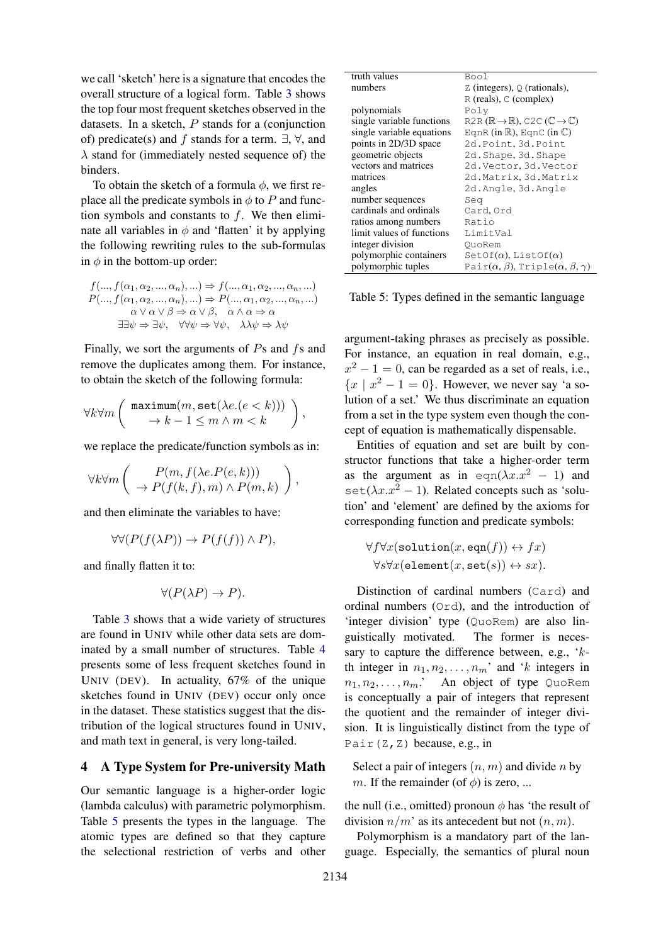we call 'sketch' here is a signature that encodes the overall structure of a logical form. Table 3 shows the top four most frequent sketches observed in the datasets. In a sketch,  $P$  stands for a (conjunction of) predicate(s) and f stands for a term.  $\exists$ ,  $\forall$ , and  $\lambda$  stand for (immediately nested sequence of) the binders.

To obtain the sketch of a formula  $\phi$ , we first replace all the predicate symbols in  $\phi$  to P and function symbols and constants to  $f$ . We then eliminate all variables in  $\phi$  and 'flatten' it by applying the following rewriting rules to the sub-formulas in  $\phi$  in the bottom-up order:

$$
f(..., f(\alpha_1, \alpha_2, ..., \alpha_n), ...) \Rightarrow f(..., \alpha_1, \alpha_2, ..., \alpha_n, ...)
$$
  
\n
$$
P(..., f(\alpha_1, \alpha_2, ..., \alpha_n), ... ) \Rightarrow P(..., \alpha_1, \alpha_2, ..., \alpha_n, ...)
$$
  
\n
$$
\alpha \lor \alpha \lor \beta \Rightarrow \alpha \lor \beta, \quad \alpha \land \alpha \Rightarrow \alpha
$$
  
\n
$$
\exists \exists \psi \Rightarrow \exists \psi, \quad \forall \forall \psi \Rightarrow \forall \psi, \quad \lambda \lambda \psi \Rightarrow \lambda \psi
$$

Finally, we sort the arguments of  $Ps$  and  $fs$  and remove the duplicates among them. For instance, to obtain the sketch of the following formula:

$$
\forall k \forall m \left( \begin{array}{c} \texttt{maximum}(m, \texttt{set}(\lambda e. (e < k)))\\ \to k-1 \leq m \wedge m < k \end{array} \right),
$$

we replace the predicate/function symbols as in:

$$
\forall k \forall m \left( \begin{array}{c} P(m, f(\lambda e.P(e,k))) \\ \rightarrow P(f(k,f),m) \wedge P(m,k) \end{array} \right),
$$

and then eliminate the variables to have:

$$
\forall \forall (P(f(\lambda P)) \to P(f(f)) \land P),
$$

and finally flatten it to:

$$
\forall (P(\lambda P) \to P).
$$

Table 3 shows that a wide variety of structures are found in UNIV while other data sets are dominated by a small number of structures. Table 4 presents some of less frequent sketches found in UNIV (DEV). In actuality, 67% of the unique sketches found in UNIV (DEV) occur only once in the dataset. These statistics suggest that the distribution of the logical structures found in UNIV, and math text in general, is very long-tailed.

# 4 A Type System for Pre-university Math

Our semantic language is a higher-order logic (lambda calculus) with parametric polymorphism. Table 5 presents the types in the language. The atomic types are defined so that they capture the selectional restriction of verbs and other

| truth values              | Bool                                                                                  |
|---------------------------|---------------------------------------------------------------------------------------|
| numbers                   | $Z$ (integers), $Q$ (rationals),                                                      |
|                           | $R$ (reals), $C$ (complex)                                                            |
| polynomials               | Polv                                                                                  |
| single variable functions | R2R $(\mathbb{R} \rightarrow \mathbb{R})$ , C2C $(\mathbb{C} \rightarrow \mathbb{C})$ |
| single variable equations | EqnR (in $\mathbb{R}$ ), EqnC (in $\mathbb{C}$ )                                      |
| points in 2D/3D space     | 2d. Point, 3d. Point                                                                  |
| geometric objects         | 2d.Shape, 3d.Shape                                                                    |
| vectors and matrices      | 2d. Vector, 3d. Vector                                                                |
| matrices                  | 2d.Matrix, 3d.Matrix                                                                  |
| angles                    | 2d.Angle, 3d.Angle                                                                    |
| number sequences          | Sea                                                                                   |
| cardinals and ordinals    | Card.Ord                                                                              |
| ratios among numbers      | Ratio                                                                                 |
| limit values of functions | LimitVal                                                                              |
| integer division          | QuoRem                                                                                |
| polymorphic containers    | SetOf( $\alpha$ ), ListOf( $\alpha$ )                                                 |
| polymorphic tuples        | Pair $(\alpha, \beta)$ , Triple $(\alpha, \beta, \gamma)$                             |

Table 5: Types defined in the semantic language

argument-taking phrases as precisely as possible. For instance, an equation in real domain, e.g.,  $x^2 - 1 = 0$ , can be regarded as a set of reals, i.e.,  ${x \mid x^2 - 1 = 0}$ . However, we never say 'a solution of a set.' We thus discriminate an equation from a set in the type system even though the concept of equation is mathematically dispensable.

Entities of equation and set are built by constructor functions that take a higher-order term as the argument as in eqn( $\lambda x.x^2 - 1$ ) and set( $\lambda x.x^2 - 1$ ). Related concepts such as 'solution' and 'element' are defined by the axioms for corresponding function and predicate symbols:

$$
\forall f \forall x (\texttt{solution}(x, \texttt{eqn}(f)) \leftrightarrow fx) \forall s \forall x (\texttt{element}(x, \texttt{set}(s)) \leftrightarrow sx).
$$

Distinction of cardinal numbers (Card) and ordinal numbers (Ord), and the introduction of 'integer division' type (QuoRem) are also linguistically motivated. The former is necessary to capture the difference between, e.g.,  $k$ th integer in  $n_1, n_2, \ldots, n_m$ ' and 'k integers in  $n_1, n_2, \ldots, n_m$ .' An object of type QuoRem is conceptually a pair of integers that represent the quotient and the remainder of integer division. It is linguistically distinct from the type of Pair $(Z, Z)$  because, e.g., in

Select a pair of integers  $(n, m)$  and divide n by m. If the remainder (of  $\phi$ ) is zero, ...

the null (i.e., omitted) pronoun  $\phi$  has 'the result of division  $n/m'$  as its antecedent but not  $(n, m)$ .

Polymorphism is a mandatory part of the language. Especially, the semantics of plural noun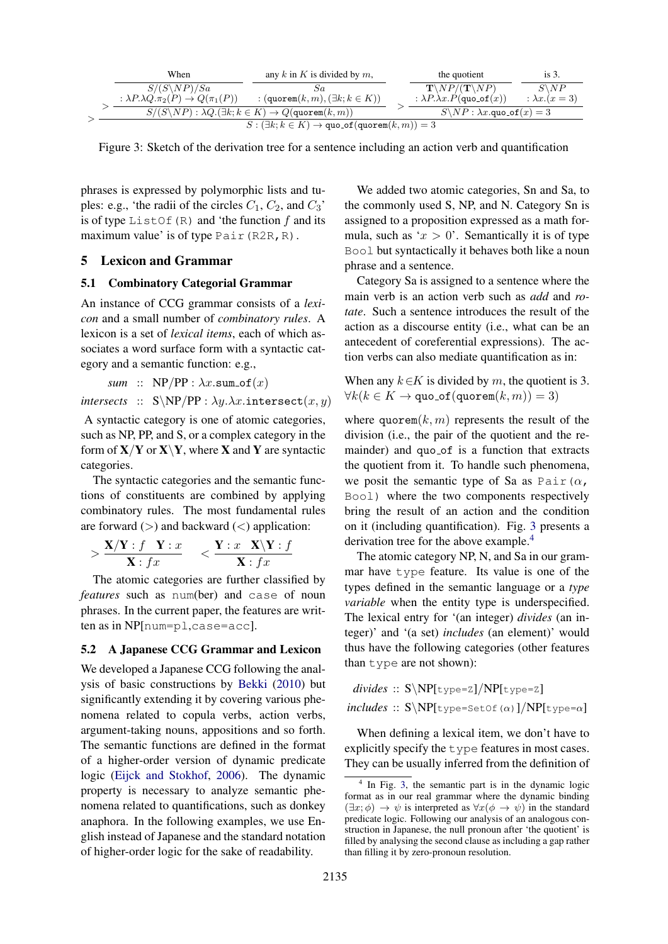|  | When                                                                 | any k in K is divided by $m$ ,                                                         | the quotient                                        | is 3.               |
|--|----------------------------------------------------------------------|----------------------------------------------------------------------------------------|-----------------------------------------------------|---------------------|
|  | $S/(S\backslash NP)/Sa$                                              | Sa                                                                                     | $\mathbf{T} \setminus NP/(\mathbf{T} \setminus NP)$ | $S\backslash NP$    |
|  | : $\lambda P \cdot \lambda Q \cdot \pi_2(P) \rightarrow Q(\pi_1(P))$ | : $(\texttt{quorem}(k,m), (\exists k; k \in K))$                                       | : $\lambda P.\lambda x.P$ (quo_of(x))               | : $\lambda x.(x=3)$ |
|  |                                                                      | $S/(S\backslash NP): \lambda Q.(\exists k; k \in K) \rightarrow Q(\text{quorem}(k,m))$ | $S\backslash NP: \lambda x.$ quo_of $(x)=3$         |                     |
|  |                                                                      | $S: (\exists k; k \in K) \rightarrow \texttt{quo_of}(\texttt{quorem}(k,m)) = 3$        |                                                     |                     |

Figure 3: Sketch of the derivation tree for a sentence including an action verb and quantification

phrases is expressed by polymorphic lists and tuples: e.g., 'the radii of the circles  $C_1$ ,  $C_2$ , and  $C_3$ ' is of type ListOf $(R)$  and 'the function f and its maximum value' is of type Pair (R2R, R).

# 5 Lexicon and Grammar

#### 5.1 Combinatory Categorial Grammar

An instance of CCG grammar consists of a *lexicon* and a small number of *combinatory rules*. A lexicon is a set of *lexical items*, each of which associates a word surface form with a syntactic category and a semantic function: e.g.,

$$
\mathit{sum} \ :: \ \mathsf{NP}/\mathsf{PP} : \lambda x.\mathtt{sum\_of}(x)
$$

*intersects* ::  $S\NP/PP : \lambda y.\lambda x.\text{intersect}(x, y)$ 

A syntactic category is one of atomic categories, such as NP, PP, and S, or a complex category in the form of  $X/Y$  or  $X\Y$ , where X and Y are syntactic categories.

The syntactic categories and the semantic functions of constituents are combined by applying combinatory rules. The most fundamental rules are forward  $(>)$  and backward  $($   $)$  application:

$$
> \frac{\mathbf{X}/\mathbf{Y}:f \quad \mathbf{Y}:x}{\mathbf{X}:fx} \quad <\frac{\mathbf{Y}:x \quad \mathbf{X}\backslash \mathbf{Y}:f}{\mathbf{X}:fx}
$$

The atomic categories are further classified by *features* such as num(ber) and case of noun phrases. In the current paper, the features are written as in NP[num=pl,case=acc].

#### 5.2 A Japanese CCG Grammar and Lexicon

We developed a Japanese CCG following the analysis of basic constructions by Bekki (2010) but significantly extending it by covering various phenomena related to copula verbs, action verbs, argument-taking nouns, appositions and so forth. The semantic functions are defined in the format of a higher-order version of dynamic predicate logic (Eijck and Stokhof, 2006). The dynamic property is necessary to analyze semantic phenomena related to quantifications, such as donkey anaphora. In the following examples, we use English instead of Japanese and the standard notation of higher-order logic for the sake of readability.

We added two atomic categories, Sn and Sa, to the commonly used S, NP, and N. Category Sn is assigned to a proposition expressed as a math formula, such as ' $x > 0$ '. Semantically it is of type Bool but syntactically it behaves both like a noun phrase and a sentence.

Category Sa is assigned to a sentence where the main verb is an action verb such as *add* and *rotate*. Such a sentence introduces the result of the action as a discourse entity (i.e., what can be an antecedent of coreferential expressions). The action verbs can also mediate quantification as in:

When any  $k \in K$  is divided by m, the quotient is 3.  $\forall k (k \in K \rightarrow \texttt{quo_of}(\texttt{quorem}(k,m)) = 3)$ 

where  $\text{quorem}(k, m)$  represents the result of the division (i.e., the pair of the quotient and the remainder) and quo\_of is a function that extracts the quotient from it. To handle such phenomena, we posit the semantic type of Sa as Pair $(\alpha, \alpha)$ Bool) where the two components respectively bring the result of an action and the condition on it (including quantification). Fig. 3 presents a derivation tree for the above example.<sup>4</sup>

The atomic category NP, N, and Sa in our grammar have type feature. Its value is one of the types defined in the semantic language or a *type variable* when the entity type is underspecified. The lexical entry for '(an integer) *divides* (an integer)' and '(a set) *includes* (an element)' would thus have the following categories (other features than type are not shown):

*divides* :: S\NP[type=Z]/NP[type=Z] *includes* ::  $S\NP[t|type=SetOf(\alpha)]/NP[t|type=\alpha]$ 

When defining a lexical item, we don't have to explicitly specify the type features in most cases. They can be usually inferred from the definition of

<sup>&</sup>lt;sup>4</sup> In Fig. 3, the semantic part is in the dynamic logic format as in our real grammar where the dynamic binding  $(\exists x; \phi) \rightarrow \psi$  is interpreted as  $\forall x(\phi \rightarrow \psi)$  in the standard predicate logic. Following our analysis of an analogous construction in Japanese, the null pronoun after 'the quotient' is filled by analysing the second clause as including a gap rather than filling it by zero-pronoun resolution.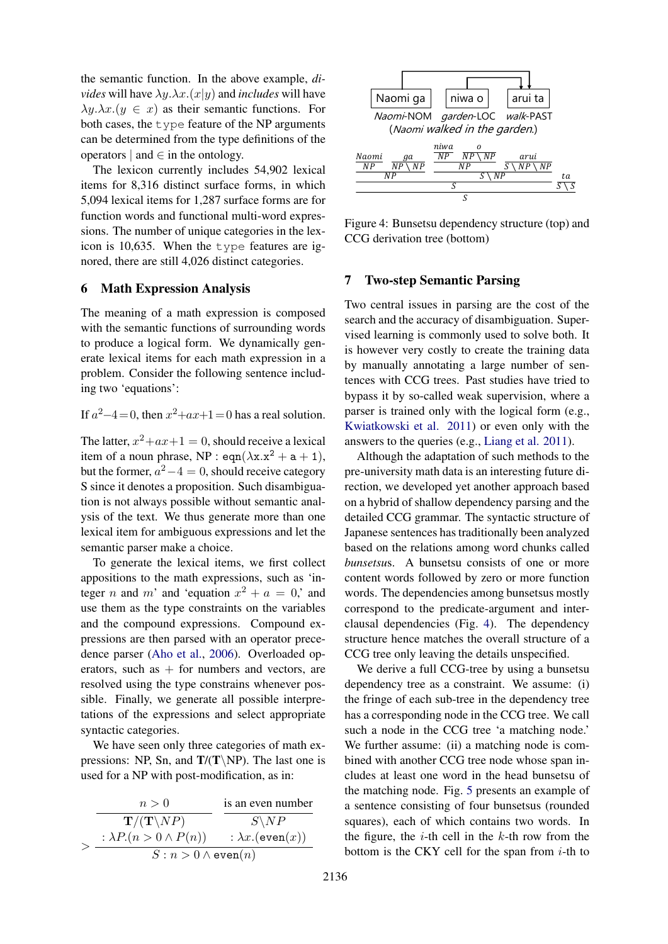the semantic function. In the above example, *divides* will have  $\lambda y.\lambda x.(x|y)$  and *includes* will have  $\lambda y.\lambda x.(y \in x)$  as their semantic functions. For both cases, the type feature of the NP arguments can be determined from the type definitions of the operators  $|$  and  $\in$  in the ontology.

The lexicon currently includes 54,902 lexical items for 8,316 distinct surface forms, in which 5,094 lexical items for 1,287 surface forms are for function words and functional multi-word expressions. The number of unique categories in the lexicon is 10,635. When the type features are ignored, there are still 4,026 distinct categories.

### 6 Math Expression Analysis

The meaning of a math expression is composed with the semantic functions of surrounding words to produce a logical form. We dynamically generate lexical items for each math expression in a problem. Consider the following sentence including two 'equations':

If  $a^2-4=0$ , then  $x^2+ax+1=0$  has a real solution.

The latter,  $x^2+ax+1=0$ , should receive a lexical item of a noun phrase, NP : eqn( $\lambda$ x.x<sup>2</sup> + a + 1), but the former,  $a^2 - 4 = 0$ , should receive category S since it denotes a proposition. Such disambiguation is not always possible without semantic analysis of the text. We thus generate more than one lexical item for ambiguous expressions and let the semantic parser make a choice.

To generate the lexical items, we first collect appositions to the math expressions, such as 'integer *n* and *m*' and 'equation  $x^2 + a = 0$ ,' and use them as the type constraints on the variables and the compound expressions. Compound expressions are then parsed with an operator precedence parser (Aho et al., 2006). Overloaded operators, such as  $+$  for numbers and vectors, are resolved using the type constrains whenever possible. Finally, we generate all possible interpretations of the expressions and select appropriate syntactic categories.

We have seen only three categories of math expressions: NP, Sn, and  $T/(T\N)$ . The last one is used for a NP with post-modification, as in:





Figure 4: Bunsetsu dependency structure (top) and CCG derivation tree (bottom)

# 7 Two-step Semantic Parsing

Two central issues in parsing are the cost of the search and the accuracy of disambiguation. Supervised learning is commonly used to solve both. It is however very costly to create the training data by manually annotating a large number of sentences with CCG trees. Past studies have tried to bypass it by so-called weak supervision, where a parser is trained only with the logical form (e.g., Kwiatkowski et al. 2011) or even only with the answers to the queries (e.g., Liang et al. 2011).

Although the adaptation of such methods to the pre-university math data is an interesting future direction, we developed yet another approach based on a hybrid of shallow dependency parsing and the detailed CCG grammar. The syntactic structure of Japanese sentences has traditionally been analyzed based on the relations among word chunks called *bunsetsu*s. A bunsetsu consists of one or more content words followed by zero or more function words. The dependencies among bunsetsus mostly correspond to the predicate-argument and interclausal dependencies (Fig. 4). The dependency structure hence matches the overall structure of a CCG tree only leaving the details unspecified.

We derive a full CCG-tree by using a bunsetsu dependency tree as a constraint. We assume: (i) the fringe of each sub-tree in the dependency tree has a corresponding node in the CCG tree. We call such a node in the CCG tree 'a matching node.' We further assume: (ii) a matching node is combined with another CCG tree node whose span includes at least one word in the head bunsetsu of the matching node. Fig. 5 presents an example of a sentence consisting of four bunsetsus (rounded squares), each of which contains two words. In the figure, the  $i$ -th cell in the  $k$ -th row from the bottom is the CKY cell for the span from  $i$ -th to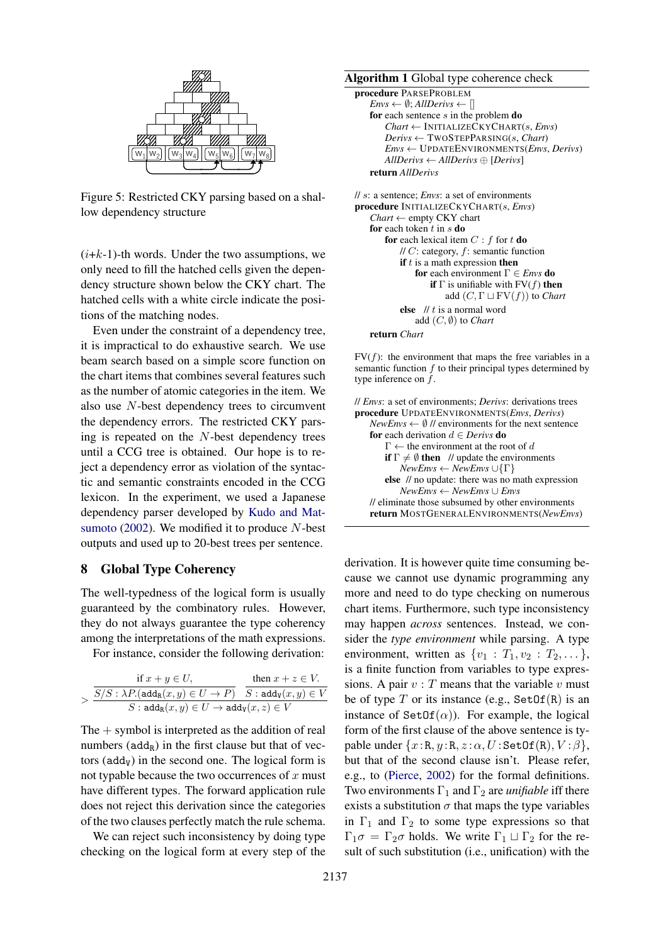

Figure 5: Restricted CKY parsing based on a shallow dependency structure

 $(i+k-1)$ -th words. Under the two assumptions, we only need to fill the hatched cells given the dependency structure shown below the CKY chart. The hatched cells with a white circle indicate the positions of the matching nodes.

Even under the constraint of a dependency tree, it is impractical to do exhaustive search. We use beam search based on a simple score function on the chart items that combines several features such as the number of atomic categories in the item. We also use N-best dependency trees to circumvent the dependency errors. The restricted CKY parsing is repeated on the N-best dependency trees until a CCG tree is obtained. Our hope is to reject a dependency error as violation of the syntactic and semantic constraints encoded in the CCG lexicon. In the experiment, we used a Japanese dependency parser developed by Kudo and Matsumoto  $(2002)$ . We modified it to produce N-best outputs and used up to 20-best trees per sentence.

# 8 Global Type Coherency

The well-typedness of the logical form is usually guaranteed by the combinatory rules. However, they do not always guarantee the type coherency among the interpretations of the math expressions.

For instance, consider the following derivation:

| if $x + y \in U$ ,                                                          | then $x + z \in V$ . |
|-----------------------------------------------------------------------------|----------------------|
| $S/S: \lambda P.({\rm add_R}(x,y)\in U\to P) \quad S:{\rm add_V}(x,y)\in V$ |                      |
| $S: \text{add}_{R}(x, y) \in U \to \text{add}_{V}(x, z) \in V$              |                      |

The  $+$  symbol is interpreted as the addition of real numbers  $(add_R)$  in the first clause but that of vectors ( $\text{add}_V$ ) in the second one. The logical form is not typable because the two occurrences of  $x$  must have different types. The forward application rule does not reject this derivation since the categories of the two clauses perfectly match the rule schema.

We can reject such inconsistency by doing type checking on the logical form at every step of the

Algorithm 1 Global type coherence check

```
procedure PARSEPROBLEM
   Envs \leftarrow \emptyset; AllDerivs \leftarrow []
   for each sentence s in the problem doChart ← INITIALIZECKYCHART(s, Envs)
       Derivs ← TWOSTEPPARSING(s, Chart)
       Envs ← UPDATEENVIRONMENTS(Envs, Derivs)
       AllDerivs ← AllDerivs ⊕ [Derivs]
   return AllDerivs
```

```
// s: a sentence; Envs: a set of environments
procedure INITIALIZECKYCHART(s, Envs)
   Chart ← empty CKY chart
   for each token t in s do
       for each lexical item C : f for t do
           \textit{1/IC}: category, f: semantic function
           if t is a math expression then
               for each environment Γ ∈ Envs do
                   if \Gamma is unifiable with FV(f) then
                       add (C, \Gamma \sqcup \mathrm{FV}(f)) to Chart
            else // t is a normal word
               add (C, ∅) to Chart
```
return *Chart*

 $FV(f)$ : the environment that maps the free variables in a semantic function  $f$  to their principal types determined by type inference on f.

// *Envs*: a set of environments; *Derivs*: derivations trees procedure UPDATEENVIRONMENTS(*Envs*, *Derivs*)  $NewEnvs \leftarrow \emptyset$  // environments for the next sentence for each derivation d ∈ *Derivs* do  $\Gamma \leftarrow$  the environment at the root of d if  $\Gamma \neq \emptyset$  then // update the environments  $NewEnvs \leftarrow NewEnvs \cup \{\Gamma\}$ else // no update: there was no math expression *NewEnvs* ← *NewEnvs* ∪ *Envs* // eliminate those subsumed by other environments return MOSTGENERALENVIRONMENTS(*NewEnvs*)

derivation. It is however quite time consuming because we cannot use dynamic programming any more and need to do type checking on numerous chart items. Furthermore, such type inconsistency may happen *across* sentences. Instead, we consider the *type environment* while parsing. A type environment, written as  $\{v_1 : T_1, v_2 : T_2, \dots\}$ , is a finite function from variables to type expressions. A pair  $v : T$  means that the variable v must be of type T or its instance (e.g.,  $SetOf(R)$  is an instance of  $\text{SetOf}(\alpha)$ ). For example, the logical form of the first clause of the above sentence is typable under  $\{x:\mathbb{R}, y:\mathbb{R}, z:\alpha, U:\mathsf{SetOf}(\mathbb{R}), V:\beta\},\$ but that of the second clause isn't. Please refer, e.g., to (Pierce, 2002) for the formal definitions. Two environments  $\Gamma_1$  and  $\Gamma_2$  are *unifiable* iff there exists a substitution  $\sigma$  that maps the type variables in  $\Gamma_1$  and  $\Gamma_2$  to some type expressions so that  $\Gamma_1 \sigma = \Gamma_2 \sigma$  holds. We write  $\Gamma_1 \sqcup \Gamma_2$  for the result of such substitution (i.e., unification) with the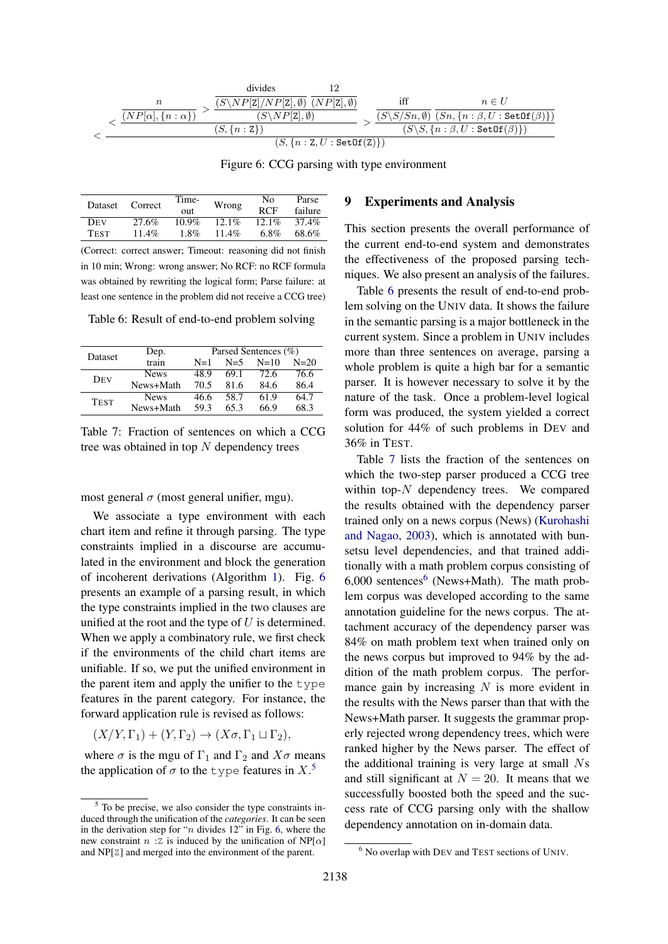$$
<\frac{\frac{n}{(NP[\alpha],\{n:\alpha\})}>\frac{\overline{(S\backslash NP[\textbf{Z}],NP[\textbf{Z}],\emptyset)}\ \overline{(NP[\textbf{Z}],\emptyset)}}{(S\backslash NP[\textbf{Z}],\emptyset)}}{S\backslash (S\backslash NP[\textbf{Z}],\emptyset)}>\frac{\text{iff}\qquad n\in U}{\frac{(S\backslash S/Sn,\emptyset)}{(S\backslash S/Sn,\emptyset)}\frac{Sn,\{n:\beta,U:\texttt{SetOf}(\beta)\}}{(Sn,\{n:\beta,U:\texttt{SetOf}(\beta)\})}}{S\backslash S,\{n:\beta,U:\texttt{SetOf}(\beta)\})}
$$

Figure 6: CCG parsing with type environment

| <b>Dataset</b> | Correct  | Time-<br>out | Wrong    | No<br><b>RCF</b> | Parse<br>failure |
|----------------|----------|--------------|----------|------------------|------------------|
| <b>DEV</b>     | 27.6%    | $10.9\%$     | $12.1\%$ | $12.1\%$         | 37.4%            |
| <b>TEST</b>    | $11.4\%$ | $1.8\%$      | 11.4%    | $6.8\%$          | 68.6%            |

(Correct: correct answer; Timeout: reasoning did not finish in 10 min; Wrong: wrong answer; No RCF: no RCF formula was obtained by rewriting the logical form; Parse failure: at least one sentence in the problem did not receive a CCG tree)

Table 6: Result of end-to-end problem solving

| <b>Dataset</b> | Dep.        | Parsed Sentences (%) |         |        |          |  |  |
|----------------|-------------|----------------------|---------|--------|----------|--|--|
|                | train       | $N=1$                | $N = 5$ | $N=10$ | $N = 20$ |  |  |
| Dev            | <b>News</b> | 48.9                 | 69.1    | 72.6   | 76.6     |  |  |
|                | News+Math   | 70.5                 | 81.6    | 84.6   | 86.4     |  |  |
| <b>TEST</b>    | <b>News</b> | 46.6                 | 58.7    | 61.9   | 64.7     |  |  |
|                | News+Math   | 59.3                 | 65.3    | 66.9   | 68.3     |  |  |

Table 7: Fraction of sentences on which a CCG tree was obtained in top  $N$  dependency trees

most general  $\sigma$  (most general unifier, mgu).

We associate a type environment with each chart item and refine it through parsing. The type constraints implied in a discourse are accumulated in the environment and block the generation of incoherent derivations (Algorithm 1). Fig. 6 presents an example of a parsing result, in which the type constraints implied in the two clauses are unified at the root and the type of  $U$  is determined. When we apply a combinatory rule, we first check if the environments of the child chart items are unifiable. If so, we put the unified environment in the parent item and apply the unifier to the type features in the parent category. For instance, the forward application rule is revised as follows:

 $(X/Y, \Gamma_1) + (Y, \Gamma_2) \rightarrow (X\sigma, \Gamma_1 \sqcup \Gamma_2),$ 

where  $\sigma$  is the mgu of  $\Gamma_1$  and  $\Gamma_2$  and  $X\sigma$  means the application of  $\sigma$  to the type features in X.<sup>5</sup>

# 9 Experiments and Analysis

This section presents the overall performance of the current end-to-end system and demonstrates the effectiveness of the proposed parsing techniques. We also present an analysis of the failures.

Table 6 presents the result of end-to-end problem solving on the UNIV data. It shows the failure in the semantic parsing is a major bottleneck in the current system. Since a problem in UNIV includes more than three sentences on average, parsing a whole problem is quite a high bar for a semantic parser. It is however necessary to solve it by the nature of the task. Once a problem-level logical form was produced, the system yielded a correct solution for 44% of such problems in DEV and 36% in TEST.

Table 7 lists the fraction of the sentences on which the two-step parser produced a CCG tree within top- $N$  dependency trees. We compared the results obtained with the dependency parser trained only on a news corpus (News) (Kurohashi and Nagao, 2003), which is annotated with bunsetsu level dependencies, and that trained additionally with a math problem corpus consisting of  $6,000$  sentences<sup>6</sup> (News+Math). The math problem corpus was developed according to the same annotation guideline for the news corpus. The attachment accuracy of the dependency parser was 84% on math problem text when trained only on the news corpus but improved to 94% by the addition of the math problem corpus. The performance gain by increasing  $N$  is more evident in the results with the News parser than that with the News+Math parser. It suggests the grammar properly rejected wrong dependency trees, which were ranked higher by the News parser. The effect of the additional training is very large at small Ns and still significant at  $N = 20$ . It means that we successfully boosted both the speed and the success rate of CCG parsing only with the shallow dependency annotation on in-domain data.

<sup>5</sup> To be precise, we also consider the type constraints induced through the unification of the *categories*. It can be seen in the derivation step for "*n* divides  $12$ " in Fig. 6, where the new constraint n : Z is induced by the unification of  $NP[\alpha]$ and NP[Z] and merged into the environment of the parent.

<sup>6</sup> No overlap with DEV and TEST sections of UNIV.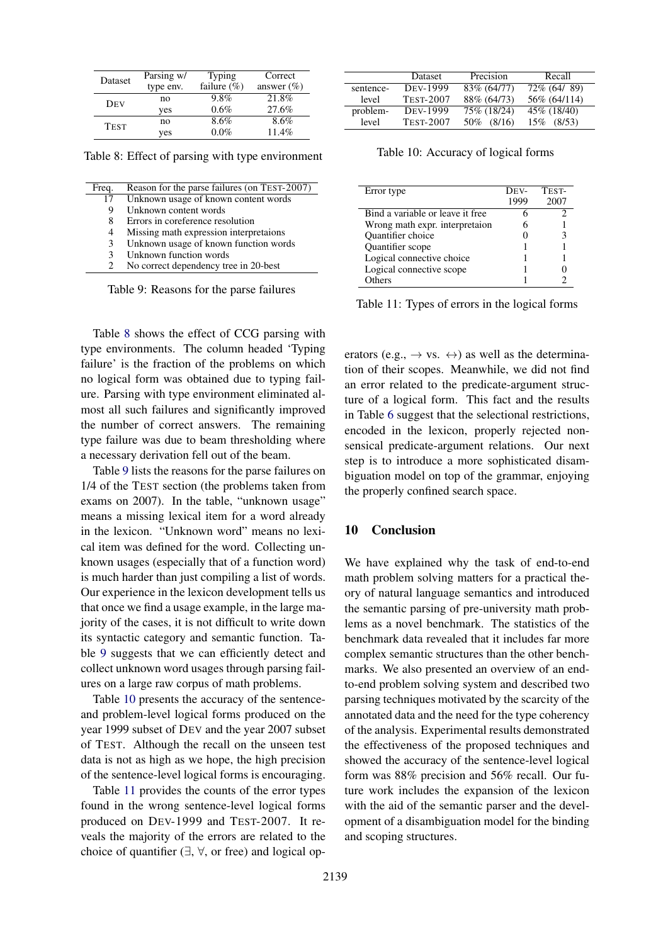| Dataset     | Parsing w/ | <b>Typing</b>   | Correct       |
|-------------|------------|-----------------|---------------|
|             | type env.  | failure $(\% )$ | answer $(\%)$ |
| <b>DEV</b>  | no         | 9.8%            | 21.8%         |
|             | yes        | 0.6%            | 27.6%         |
| <b>TEST</b> | no         | $8.6\%$         | $8.6\%$       |
|             | yes        | $0.0\%$         | 11.4%         |

Table 8: Effect of parsing with type environment

| Freq. | Reason for the parse failures (on TEST-2007) |
|-------|----------------------------------------------|
| 17    | Unknown usage of known content words         |
| 9     | Unknown content words                        |
| 8     | Errors in coreference resolution             |
| 4     | Missing math expression interpretaions       |
| 3     | Unknown usage of known function words        |
| 3     | Unknown function words                       |
|       | No correct dependency tree in 20-best        |
|       |                                              |

Table 9: Reasons for the parse failures

Table 8 shows the effect of CCG parsing with type environments. The column headed 'Typing failure' is the fraction of the problems on which no logical form was obtained due to typing failure. Parsing with type environment eliminated almost all such failures and significantly improved the number of correct answers. The remaining type failure was due to beam thresholding where a necessary derivation fell out of the beam.

Table 9 lists the reasons for the parse failures on 1/4 of the TEST section (the problems taken from exams on 2007). In the table, "unknown usage" means a missing lexical item for a word already in the lexicon. "Unknown word" means no lexical item was defined for the word. Collecting unknown usages (especially that of a function word) is much harder than just compiling a list of words. Our experience in the lexicon development tells us that once we find a usage example, in the large majority of the cases, it is not difficult to write down its syntactic category and semantic function. Table 9 suggests that we can efficiently detect and collect unknown word usages through parsing failures on a large raw corpus of math problems.

Table 10 presents the accuracy of the sentenceand problem-level logical forms produced on the year 1999 subset of DEV and the year 2007 subset of TEST. Although the recall on the unseen test data is not as high as we hope, the high precision of the sentence-level logical forms is encouraging.

Table 11 provides the counts of the error types found in the wrong sentence-level logical forms produced on DEV-1999 and TEST-2007. It reveals the majority of the errors are related to the choice of quantifier  $(\exists, \forall, \text{ or free})$  and logical op-

|           | <b>Dataset</b>   | Precision     | Recall       |
|-----------|------------------|---------------|--------------|
| sentence- | <b>DEV-1999</b>  | 83\% (64/77)  | 72\% (64/89) |
| level     | <b>TEST-2007</b> | 88% (64/73)   | 56% (64/114) |
| problem-  | <b>DEV-1999</b>  | 75\% (18/24)  | 45\% (18/40) |
| level     | <b>TEST-2007</b> | (8/16)<br>50% | 15\% (8/53)  |

Table 10: Accuracy of logical forms

| Error type                       | DEV- | TEST- |
|----------------------------------|------|-------|
|                                  | 1999 | 2007  |
| Bind a variable or leave it free |      |       |
| Wrong math expr. interpretaion   |      |       |
| Quantifier choice                |      |       |
| Quantifier scope                 |      |       |
| Logical connective choice        |      |       |
| Logical connective scope         |      |       |
| Others                           |      |       |

Table 11: Types of errors in the logical forms

erators (e.g.,  $\rightarrow$  vs.  $\leftrightarrow$ ) as well as the determination of their scopes. Meanwhile, we did not find an error related to the predicate-argument structure of a logical form. This fact and the results in Table 6 suggest that the selectional restrictions, encoded in the lexicon, properly rejected nonsensical predicate-argument relations. Our next step is to introduce a more sophisticated disambiguation model on top of the grammar, enjoying the properly confined search space.

### 10 Conclusion

We have explained why the task of end-to-end math problem solving matters for a practical theory of natural language semantics and introduced the semantic parsing of pre-university math problems as a novel benchmark. The statistics of the benchmark data revealed that it includes far more complex semantic structures than the other benchmarks. We also presented an overview of an endto-end problem solving system and described two parsing techniques motivated by the scarcity of the annotated data and the need for the type coherency of the analysis. Experimental results demonstrated the effectiveness of the proposed techniques and showed the accuracy of the sentence-level logical form was 88% precision and 56% recall. Our future work includes the expansion of the lexicon with the aid of the semantic parser and the development of a disambiguation model for the binding and scoping structures.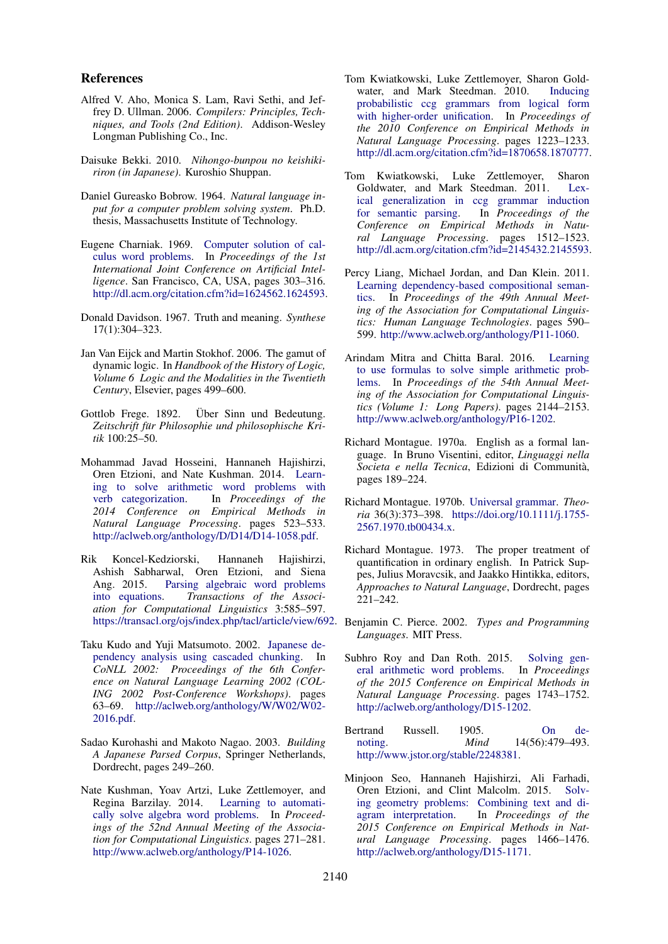#### References

- Alfred V. Aho, Monica S. Lam, Ravi Sethi, and Jeffrey D. Ullman. 2006. *Compilers: Principles, Techniques, and Tools (2nd Edition)*. Addison-Wesley Longman Publishing Co., Inc.
- Daisuke Bekki. 2010. *Nihongo-bunpou no keishikiriron (in Japanese)*. Kuroshio Shuppan.
- Daniel Gureasko Bobrow. 1964. *Natural language input for a computer problem solving system*. Ph.D. thesis, Massachusetts Institute of Technology.
- Eugene Charniak. 1969. Computer solution of calculus word problems. In *Proceedings of the 1st International Joint Conference on Artificial Intelligence*. San Francisco, CA, USA, pages 303–316. http://dl.acm.org/citation.cfm?id=1624562.1624593.
- Donald Davidson. 1967. Truth and meaning. *Synthese* 17(1):304–323.
- Jan Van Eijck and Martin Stokhof. 2006. The gamut of dynamic logic. In *Handbook of the History of Logic, Volume 6 Logic and the Modalities in the Twentieth Century*, Elsevier, pages 499–600.
- Gottlob Frege. 1892. Über Sinn und Bedeutung. *Zeitschrift fur Philosophie und philosophische Kri- ¨ tik* 100:25–50.
- Mohammad Javad Hosseini, Hannaneh Hajishirzi, Oren Etzioni, and Nate Kushman. 2014. Learning to solve arithmetic word problems with verb categorization. In *Proceedings of the 2014 Conference on Empirical Methods in Natural Language Processing*. pages 523–533. http://aclweb.org/anthology/D/D14/D14-1058.pdf.
- Rik Koncel-Kedziorski, Hannaneh Hajishirzi, Ashish Sabharwal, Oren Etzioni, and Siena Ang. 2015. Parsing algebraic word problems into equations. *Transactions of the Association for Computational Linguistics* 3:585–597.
- Taku Kudo and Yuji Matsumoto. 2002. Japanese dependency analysis using cascaded chunking. In *CoNLL 2002: Proceedings of the 6th Conference on Natural Language Learning 2002 (COL-ING 2002 Post-Conference Workshops)*. pages 63–69. http://aclweb.org/anthology/W/W02/W02- 2016.pdf.
- Sadao Kurohashi and Makoto Nagao. 2003. *Building A Japanese Parsed Corpus*, Springer Netherlands, Dordrecht, pages 249–260.
- Nate Kushman, Yoav Artzi, Luke Zettlemoyer, and Regina Barzilay. 2014. Learning to automatically solve algebra word problems. In *Proceedings of the 52nd Annual Meeting of the Association for Computational Linguistics*. pages 271–281. http://www.aclweb.org/anthology/P14-1026.
- Tom Kwiatkowski, Luke Zettlemoyer, Sharon Goldwater, and Mark Steedman. 2010. Inducing probabilistic ccg grammars from logical form with higher-order unification. In *Proceedings of the 2010 Conference on Empirical Methods in Natural Language Processing*. pages 1223–1233. http://dl.acm.org/citation.cfm?id=1870658.1870777.
- Tom Kwiatkowski, Luke Zettlemoyer, Sharon Goldwater, and Mark Steedman. 2011. Lexical generalization in ccg grammar induction for semantic parsing. In *Proceedings of the Conference on Empirical Methods in Natural Language Processing*. pages 1512–1523. http://dl.acm.org/citation.cfm?id=2145432.2145593.
- Percy Liang, Michael Jordan, and Dan Klein. 2011. Learning dependency-based compositional semantics. In *Proceedings of the 49th Annual Meeting of the Association for Computational Linguistics: Human Language Technologies*. pages 590– 599. http://www.aclweb.org/anthology/P11-1060.
- Arindam Mitra and Chitta Baral. 2016. Learning to use formulas to solve simple arithmetic problems. In *Proceedings of the 54th Annual Meeting of the Association for Computational Linguistics (Volume 1: Long Papers)*. pages 2144–2153. http://www.aclweb.org/anthology/P16-1202.
- Richard Montague. 1970a. English as a formal language. In Bruno Visentini, editor, *Linguaggi nella Societa e nella Tecnica*, Edizioni di Communita,` pages 189–224.
- Richard Montague. 1970b. Universal grammar. *Theoria* 36(3):373–398. https://doi.org/10.1111/j.1755- 2567.1970.tb00434.x.
- Richard Montague. 1973. The proper treatment of quantification in ordinary english. In Patrick Suppes, Julius Moravcsik, and Jaakko Hintikka, editors, *Approaches to Natural Language*, Dordrecht, pages 221–242.
- https://transacl.org/ojs/index.php/tacl/article/view/692. Benjamin C. Pierce. 2002. *Types and Programming Languages*. MIT Press.
	- Subhro Roy and Dan Roth. 2015. Solving general arithmetic word problems. In *Proceedings of the 2015 Conference on Empirical Methods in Natural Language Processing*. pages 1743–1752. http://aclweb.org/anthology/D15-1202.
	- Bertrand Russell. 1905. On denoting. *Mind* 14(56):479–493. http://www.jstor.org/stable/2248381.
	- Minjoon Seo, Hannaneh Hajishirzi, Ali Farhadi, Oren Etzioni, and Clint Malcolm. 2015. Solving geometry problems: Combining text and diagram interpretation. In *Proceedings of the 2015 Conference on Empirical Methods in Natural Language Processing*. pages 1466–1476. http://aclweb.org/anthology/D15-1171.